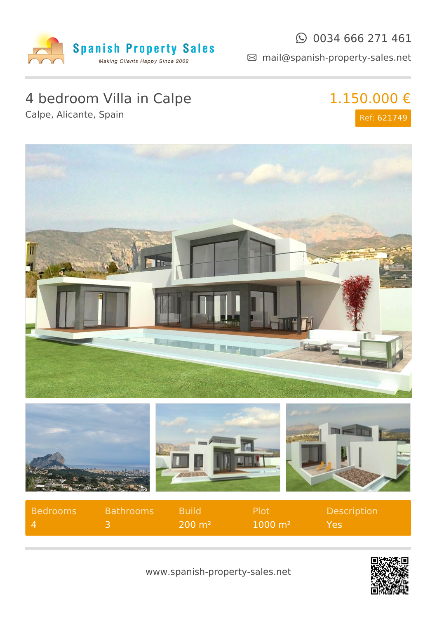

#### $\odot$  0034 666 271 461

mail@spanish-property-sales.net

## 4 bedroom Villa in Calpe

Calpe, Alicante, Spain

# 1.150.000 €

Ref: 621749









| <b>Bedrooms</b> | <b>Bathrooms</b> | - Build-            | -Plot                  | <b>Description</b> |
|-----------------|------------------|---------------------|------------------------|--------------------|
| $\mathbf{A}$    |                  | $200 \; \text{m}^2$ | $1000 \; \mathrm{m}^2$ | Yes                |



www.spanish-property-sales.net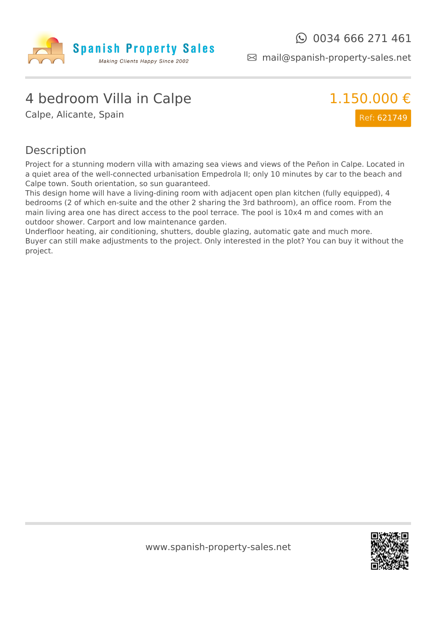

mail@spanish-property-sales.net

#### 4 bedroom Villa in Calpe

Calpe, Alicante, Spain



#### Description

Project for a stunning modern villa with amazing sea views and views of the Peñon in Calpe. Located in a quiet area of the well-connected urbanisation Empedrola II; only 10 minutes by car to the beach and Calpe town. South orientation, so sun guaranteed.

This design home will have a living-dining room with adjacent open plan kitchen (fully equipped), 4 bedrooms (2 of which en-suite and the other 2 sharing the 3rd bathroom), an office room. From the main living area one has direct access to the pool terrace. The pool is 10x4 m and comes with an outdoor shower. Carport and low maintenance garden.

Underfloor heating, air conditioning, shutters, double glazing, automatic gate and much more. Buyer can still make adjustments to the project. Only interested in the plot? You can buy it without the project.